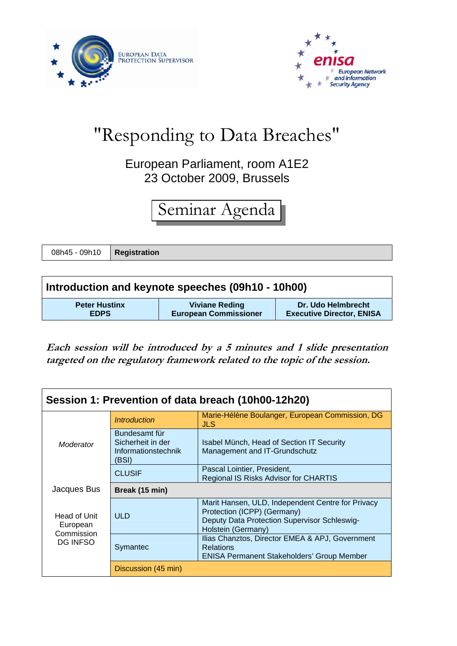



## "Responding to Data Breaches"

## European Parliament, room A1E2 23 October 2009, Brussels

## Seminar Agenda

08h45 - 09h10 **Registration**

| Introduction and keynote speeches (09h10 - 10h00) |                              |                                  |  |  |
|---------------------------------------------------|------------------------------|----------------------------------|--|--|
| <b>Peter Hustinx</b>                              | <b>Viviane Reding</b>        | Dr. Udo Helmbrecht               |  |  |
| <b>EDPS</b>                                       | <b>European Commissioner</b> | <b>Executive Director, ENISA</b> |  |  |

**Each session will be introduced by a 5 minutes and 1 slide presentation targeted on the regulatory framework related to the topic of the session.** 

| Session 1: Prevention of data breach (10h00-12h20)        |                                                                    |                                                                                                                                                        |  |  |
|-----------------------------------------------------------|--------------------------------------------------------------------|--------------------------------------------------------------------------------------------------------------------------------------------------------|--|--|
| Moderator                                                 | <i><b>Introduction</b></i>                                         | Marie-Hélène Boulanger, European Commission, DG<br><b>JLS</b>                                                                                          |  |  |
|                                                           | Bundesamt für<br>Sicherheit in der<br>Informationstechnik<br>(BSI) | Isabel Münch, Head of Section IT Security<br>Management and IT-Grundschutz                                                                             |  |  |
|                                                           | <b>CLUSIF</b>                                                      | Pascal Lointier, President,<br>Regional IS Risks Advisor for CHARTIS                                                                                   |  |  |
| Jacques Bus                                               | Break (15 min)                                                     |                                                                                                                                                        |  |  |
| Head of Unit<br>European<br>Commission<br><b>DG INFSO</b> | <b>ULD</b>                                                         | Marit Hansen, ULD, Independent Centre for Privacy<br>Protection (ICPP) (Germany)<br>Deputy Data Protection Supervisor Schleswig-<br>Holstein (Germany) |  |  |
|                                                           | Symantec                                                           | Ilias Chanztos, Director EMEA & APJ, Government<br><b>Relations</b><br><b>ENISA Permanent Stakeholders' Group Member</b>                               |  |  |
|                                                           | Discussion (45 min)                                                |                                                                                                                                                        |  |  |